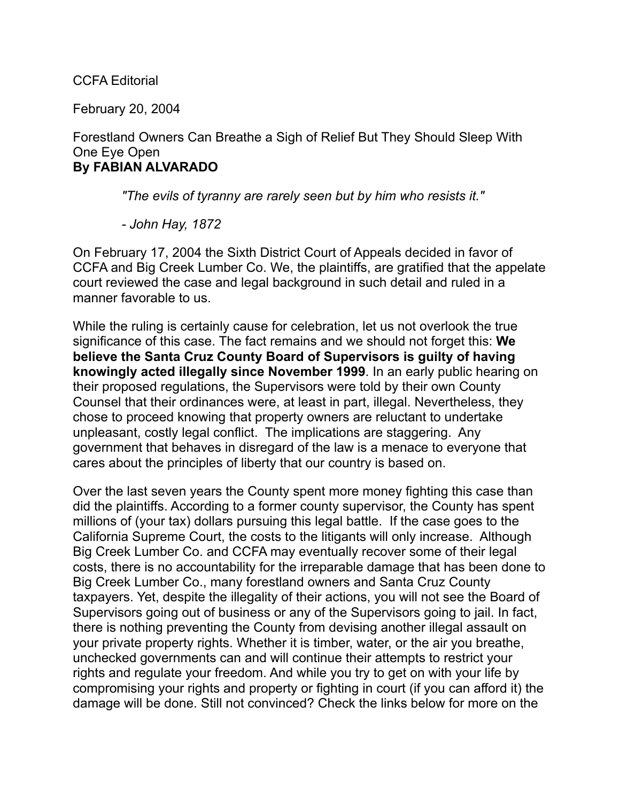## CCFA Editorial

February 20, 2004

## Forestland Owners Can Breathe a Sigh of Relief But They Should Sleep With One Eye Open **By FABIAN ALVARADO**

*"The evils of tyranny are rarely seen but by him who resists it."*

*- John Hay, 1872*

On February 17, 2004 the Sixth District Court of Appeals decided in favor of CCFA and Big Creek Lumber Co. We, the plaintiffs, are gratified that the appelate court reviewed the case and legal background in such detail and ruled in a manner favorable to us.

While the ruling is certainly cause for celebration, let us not overlook the true significance of this case. The fact remains and we should not forget this: **We believe the Santa Cruz County Board of Supervisors is guilty of having knowingly acted illegally since November 1999**. In an early public hearing on their proposed regulations, the Supervisors were told by their own County Counsel that their ordinances were, at least in part, illegal. Nevertheless, they chose to proceed knowing that property owners are reluctant to undertake unpleasant, costly legal conflict. The implications are staggering. Any government that behaves in disregard of the law is a menace to everyone that cares about the principles of liberty that our country is based on.

Over the last seven years the County spent more money fighting this case than did the plaintiffs. According to a former county supervisor, the County has spent millions of (your tax) dollars pursuing this legal battle. If the case goes to the California Supreme Court, the costs to the litigants will only increase. Although Big Creek Lumber Co. and CCFA may eventually recover some of their legal costs, there is no accountability for the irreparable damage that has been done to Big Creek Lumber Co., many forestland owners and Santa Cruz County taxpayers. Yet, despite the illegality of their actions, you will not see the Board of Supervisors going out of business or any of the Supervisors going to jail. In fact, there is nothing preventing the County from devising another illegal assault on your private property rights. Whether it is timber, water, or the air you breathe, unchecked governments can and will continue their attempts to restrict your rights and regulate your freedom. And while you try to get on with your life by compromising your rights and property or fighting in court (if you can afford it) the damage will be done. Still not convinced? Check the links below for more on the